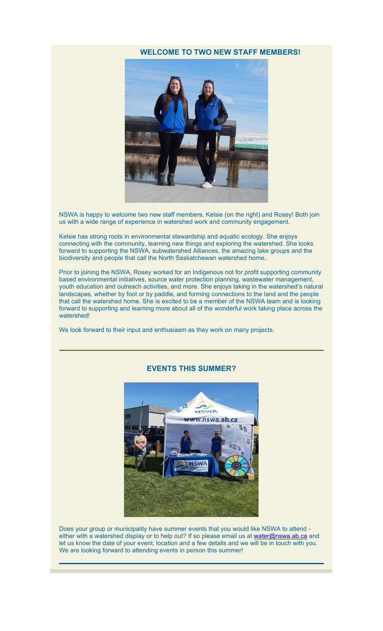# **WELCOME TO TWO NEW STAFF MEMBERS!**



NSWA is happy to welcome two new staff members, Kelsie (on the right) and Rosey! Both join us with a wide range of experience in watershed work and community engagement.

Kelsie has strong roots in environmental stewardship and aquatic ecology. She enjoys connecting with the community, learning new things and exploring the watershed. She looks forward to supporting the NSWA, subwatershed Alliances, the amazing lake groups and the biodiversity and people that call the North Saskatchewan watershed home..

Prior to joining the NSWA, Rosey worked for an Indigenous not for profit supporting community based environmental initiatives, source water protection planning, wastewater management, youth education and outreach activities, and more. She enjoys taking in the watershed's natural landscapes, whether by foot or by paddle, and forming connections to the land and the people that call the watershed home. She is excited to be a member of the NSWA team and is looking forward to supporting and learning more about all of the wonderful work taking place across the watershed!

We look forward to their input and enthusiasm as they work on many projects.



#### **EVENTS THIS SUMMER?**

Does your group or municipality have summer events that you would like NSWA to attend either with a watershed display or to help out? If so please email us at [water@nswa.ab.ca](mailto:water@nswa.ab.ca) and let us know the date of your event, location and a few details and we will be in touch with you. We are looking forward to attending events in person this summer!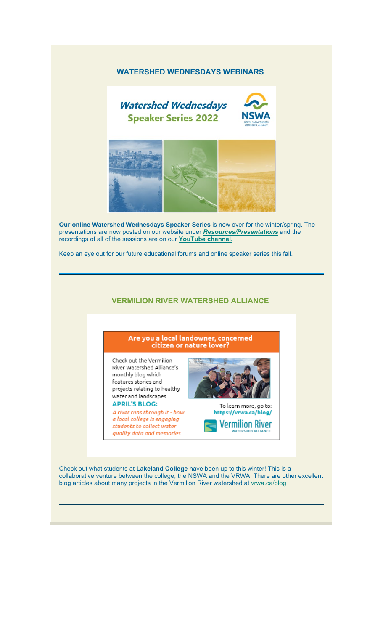### **WATERSHED WEDNESDAYS WEBINARS**



**Our online Watershed Wednesdays Speaker Series** is now over for the winter/spring. The presentations are now posted on our website under *[Resources/Presentations](https://nswa.us14.list-manage.com/track/click?u=7440db212d60f2e49343dcf70&id=82059147a8&e=d25282eaaf)* and the recordings of all of the sessions are on our **[YouTube channel.](https://nswa.us14.list-manage.com/track/click?u=7440db212d60f2e49343dcf70&id=c630934b04&e=d25282eaaf)**

Keep an eye out for our future educational forums and online speaker series this fall.

#### **VERMILION RIVER WATERSHED ALLIANCE**

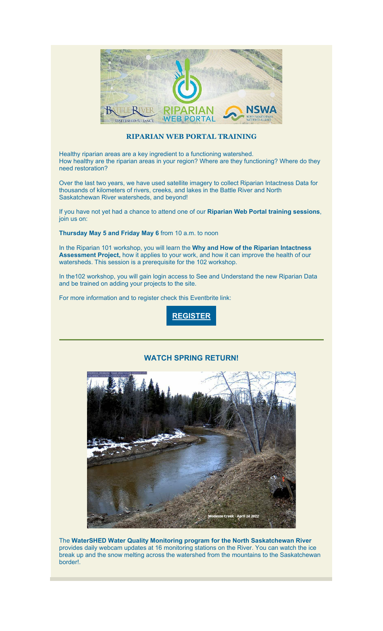

## **RIPARIAN WEB PORTAL TRAINING**

Healthy riparian areas are a key ingredient to a functioning watershed. How healthy are the riparian areas in your region? Where are they functioning? Where do they need restoration?

Over the last two years, we have used satellite imagery to collect Riparian Intactness Data for thousands of kilometers of rivers, creeks, and lakes in the Battle River and North Saskatchewan River watersheds, and beyond!

If you have not yet had a chance to attend one of our **Riparian Web Portal training sessions**, join us on:

**Thursday May 5 and Friday May 6** from 10 a.m. to noon

In the Riparian 101 workshop, you will learn the **Why and How of the Riparian Intactness Assessment Project,** how it applies to your work, and how it can improve the health of our watersheds. This session is a prerequisite for the 102 workshop.

In the102 workshop, you will gain login access to See and Understand the new Riparian Data and be trained on adding your projects to the site.

For more information and to register check this Eventbrite link:



### **WATCH SPRING RETURN!**



The **WaterSHED Water Quality Monitoring program for the North Saskatchewan River**  provides daily webcam updates at 16 monitoring stations on the River. You can watch the ice break up and the snow melting across the watershed from the mountains to the Saskatchewan border!.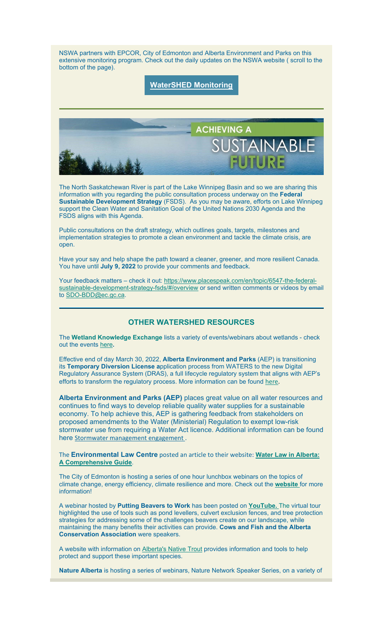NSWA partners with EPCOR, City of Edmonton and Alberta Environment and Parks on this extensive monitoring program. Check out the daily updates on the NSWA website ( scroll to the bottom of the page).

# **[WaterSHED Monitoring](https://nswa.us14.list-manage.com/track/click?u=7440db212d60f2e49343dcf70&id=7515b84559&e=d25282eaaf)**



The North Saskatchewan River is part of the Lake Winnipeg Basin and so we are sharing this information with you regarding the public consultation process underway on the **Federal Sustainable Development Strategy** (FSDS). As you may be aware, efforts on Lake Winnipeg support the Clean Water and Sanitation Goal of the United Nations 2030 Agenda and the FSDS aligns with this Agenda.

Public consultations on the draft strategy, which outlines goals, targets, milestones and implementation strategies to promote a clean environment and tackle the climate crisis, are open.

Have your say and help shape the path toward a cleaner, greener, and more resilient Canada. You have until **July 9, 2022** to provide your comments and feedback.

Your feedback matters – check it out: [https://www.placespeak.com/en/topic/6547-the-federal](https://nswa.us14.list-manage.com/track/click?u=7440db212d60f2e49343dcf70&id=e5ba4023f0&e=d25282eaaf)[sustainable-development-strategy-fsds/#/overview](https://nswa.us14.list-manage.com/track/click?u=7440db212d60f2e49343dcf70&id=e5ba4023f0&e=d25282eaaf) or send written comments or videos by email to [SDO-BDD@ec.gc.ca.](mailto:SDO-BDD@ec.gc.ca)

# **OTHER WATERSHED RESOURCES**

The **Wetland Knowledge Exchange** lists a variety of events/webinars about wetlands - check out the events [here](https://nswa.us14.list-manage.com/track/click?u=7440db212d60f2e49343dcf70&id=ca061bbaaa&e=d25282eaaf)**.**

Effective end of day March 30, 2022, **Alberta Environment and Parks** (AEP) is transitioning its **Temporary Diversion License a**pplication process from WATERS to the new Digital Regulatory Assurance System (DRAS), a full lifecycle regulatory system that aligns with AEP's efforts to transform the regulatory process. More information can be found [here.](https://nswa.us14.list-manage.com/track/click?u=7440db212d60f2e49343dcf70&id=0a59fa9f03&e=d25282eaaf)

**Alberta Environment and Parks (AEP)** places great value on all water resources and continues to find ways to develop reliable quality water supplies for a sustainable economy. To help achieve this, AEP is gathering feedback from stakeholders on proposed amendments to the Water (Ministerial) Regulation to exempt low-risk stormwater use from requiring a Water Act licence. Additional information can be found here [Stormwater management engagement](https://nswa.us14.list-manage.com/track/click?u=7440db212d60f2e49343dcf70&id=618ee8374a&e=d25282eaaf).

The **Environmental Law Centre** posted an article to their website: **[Water Law in Alberta:](https://nswa.us14.list-manage.com/track/click?u=7440db212d60f2e49343dcf70&id=9cbef38247&e=d25282eaaf)  [A Comprehensive Guide](https://nswa.us14.list-manage.com/track/click?u=7440db212d60f2e49343dcf70&id=9cbef38247&e=d25282eaaf)**.

The City of Edmonton is hosting a series of one hour lunchbox webinars on the topics of climate change, energy efficiency, climate resilience and more. Check out the **[website](https://nswa.us14.list-manage.com/track/click?u=7440db212d60f2e49343dcf70&id=9da01db0af&e=d25282eaaf)** for more information!

A webinar hosted by **Putting Beavers to Work** has been posted on **YouTube.** The virtual tour highlighted the use of tools such as pond levellers, culvert exclusion fences, and tree protection strategies for addressing some of the challenges beavers create on our landscape, while maintaining the many benefits their activities can provide. **Cows and Fish and the Alberta Conservation Association** were speakers.

A website with information on [Alberta's Native Trout](https://nswa.us14.list-manage.com/track/click?u=7440db212d60f2e49343dcf70&id=30891bb5a2&e=d25282eaaf) provides information and tools to help protect and support these important species.

**Nature Alberta** is hosting a series of webinars, Nature Network Speaker Series, on a variety of